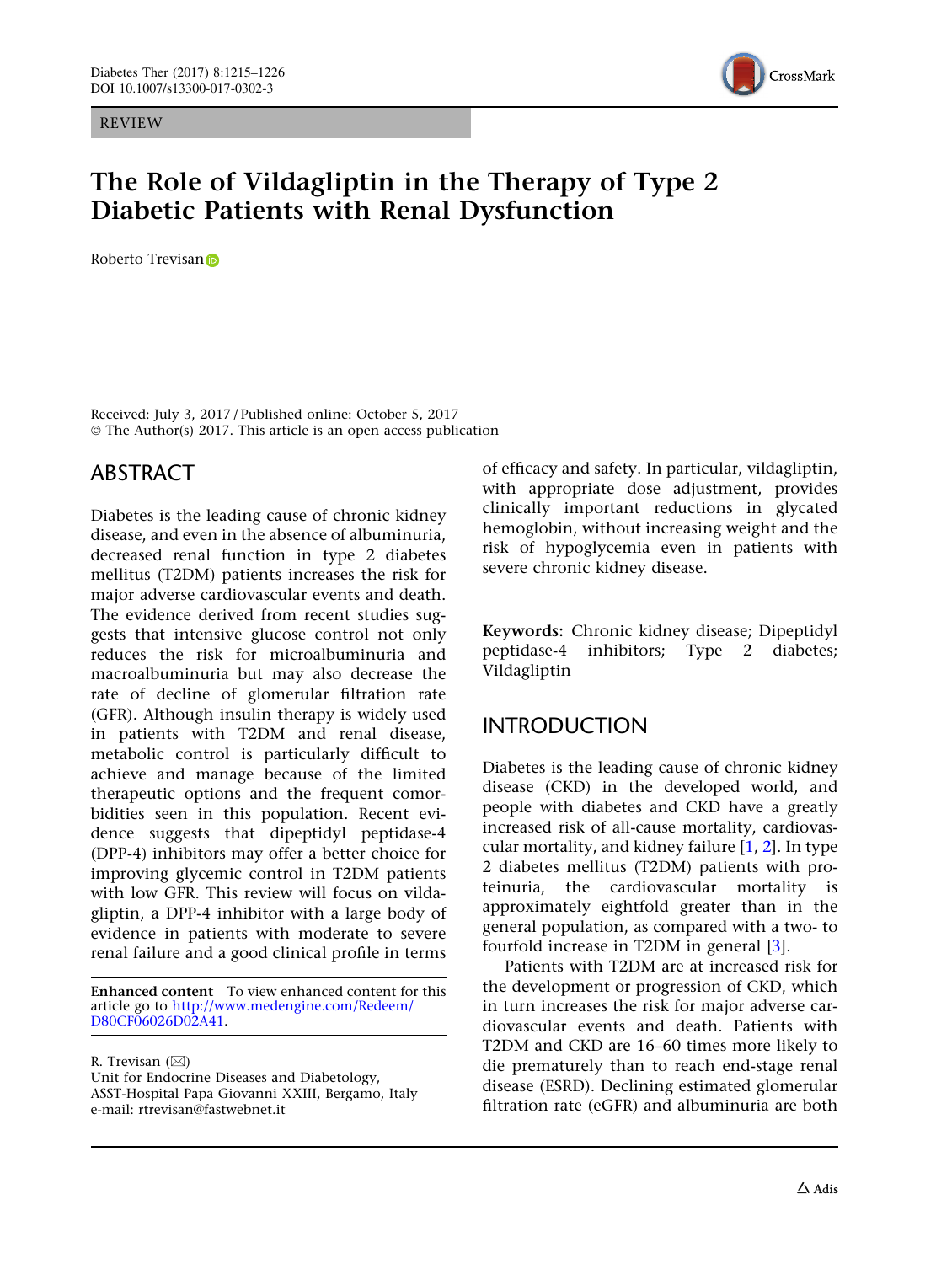REVIEW



# The Role of Vildagliptin in the Therapy of Type 2 Diabetic Patients with Renal Dysfunction

Roberto Trevisan<sub>D</sub>

Received: July 3, 2017 / Published online: October 5, 2017 © The Author(s) 2017. This article is an open access publication

## ABSTRACT

Diabetes is the leading cause of chronic kidney disease, and even in the absence of albuminuria, decreased renal function in type 2 diabetes mellitus (T2DM) patients increases the risk for major adverse cardiovascular events and death. The evidence derived from recent studies suggests that intensive glucose control not only reduces the risk for microalbuminuria and macroalbuminuria but may also decrease the rate of decline of glomerular filtration rate (GFR). Although insulin therapy is widely used in patients with T2DM and renal disease, metabolic control is particularly difficult to achieve and manage because of the limited therapeutic options and the frequent comorbidities seen in this population. Recent evidence suggests that dipeptidyl peptidase-4 (DPP-4) inhibitors may offer a better choice for improving glycemic control in T2DM patients with low GFR. This review will focus on vildagliptin, a DPP-4 inhibitor with a large body of evidence in patients with moderate to severe renal failure and a good clinical profile in terms

Enhanced content To view enhanced content for this article go to [http://www.medengine.com/Redeem/](http://www.medengine.com/Redeem/D80CF06026D02A41) [D80CF06026D02A41](http://www.medengine.com/Redeem/D80CF06026D02A41).

R. Trevisan  $(\boxtimes)$ 

of efficacy and safety. In particular, vildagliptin, with appropriate dose adjustment, provides clinically important reductions in glycated hemoglobin, without increasing weight and the risk of hypoglycemia even in patients with severe chronic kidney disease.

Keywords: Chronic kidney disease; Dipeptidyl peptidase-4 inhibitors; Type 2 diabetes; Vildagliptin

# INTRODUCTION

Diabetes is the leading cause of chronic kidney disease (CKD) in the developed world, and people with diabetes and CKD have a greatly increased risk of all-cause mortality, cardiovascular mortality, and kidney failure [\[1,](#page-10-0) [2\]](#page-10-0). In type 2 diabetes mellitus (T2DM) patients with proteinuria, the cardiovascular mortality is approximately eightfold greater than in the general population, as compared with a two- to fourfold increase in T2DM in general [\[3\]](#page-10-0).

Patients with T2DM are at increased risk for the development or progression of CKD, which in turn increases the risk for major adverse cardiovascular events and death. Patients with T2DM and CKD are 16–60 times more likely to die prematurely than to reach end-stage renal disease (ESRD). Declining estimated glomerular filtration rate (eGFR) and albuminuria are both

Unit for Endocrine Diseases and Diabetology, ASST-Hospital Papa Giovanni XXIII, Bergamo, Italy e-mail: rtrevisan@fastwebnet.it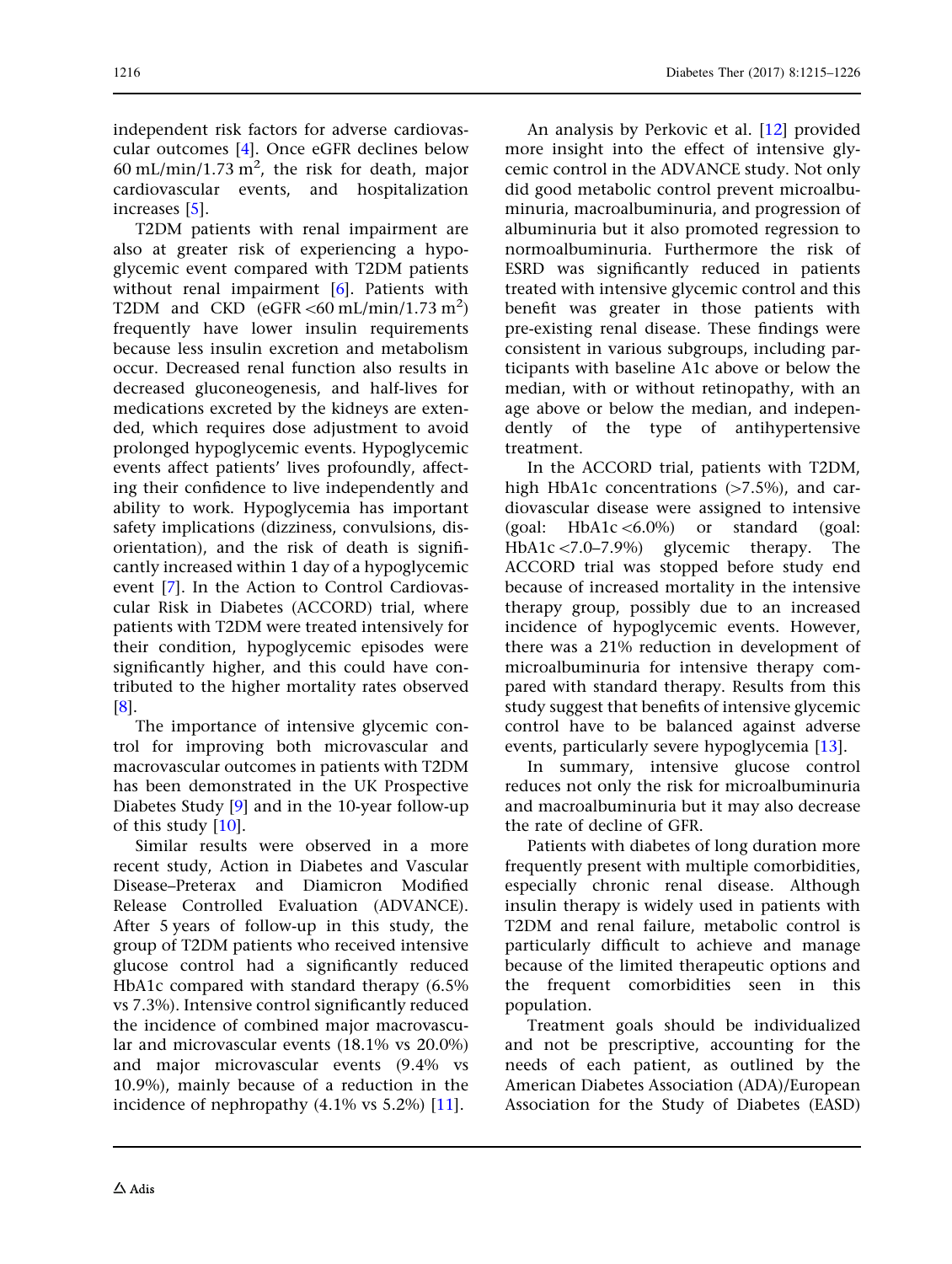independent risk factors for adverse cardiovascular outcomes [[4](#page-10-0)]. Once eGFR declines below  $60 \text{ mL/min}/1.73 \text{ m}^2$ , the risk for death, major cardiovascular events, and hospitalization increases [\[5\]](#page-10-0).

T2DM patients with renal impairment are also at greater risk of experiencing a hypoglycemic event compared with T2DM patients without renal impairment [[6\]](#page-10-0). Patients with T2DM and CKD  $(eGFR < 60 \text{ mL/min}/1.73 \text{ m}^2)$ frequently have lower insulin requirements because less insulin excretion and metabolism occur. Decreased renal function also results in decreased gluconeogenesis, and half-lives for medications excreted by the kidneys are extended, which requires dose adjustment to avoid prolonged hypoglycemic events. Hypoglycemic events affect patients' lives profoundly, affecting their confidence to live independently and ability to work. Hypoglycemia has important safety implications (dizziness, convulsions, disorientation), and the risk of death is significantly increased within 1 day of a hypoglycemic event [\[7\]](#page-10-0). In the Action to Control Cardiovascular Risk in Diabetes (ACCORD) trial, where patients with T2DM were treated intensively for their condition, hypoglycemic episodes were significantly higher, and this could have contributed to the higher mortality rates observed [\[8\]](#page-10-0).

The importance of intensive glycemic control for improving both microvascular and macrovascular outcomes in patients with T2DM has been demonstrated in the UK Prospective Diabetes Study [[9](#page-10-0)] and in the 10-year follow-up of this study [\[10\]](#page-10-0).

Similar results were observed in a more recent study, Action in Diabetes and Vascular Disease–Preterax and Diamicron Modified Release Controlled Evaluation (ADVANCE). After 5 years of follow-up in this study, the group of T2DM patients who received intensive glucose control had a significantly reduced HbA1c compared with standard therapy (6.5% vs 7.3%). Intensive control significantly reduced the incidence of combined major macrovascular and microvascular events (18.1% vs 20.0%) and major microvascular events (9.4% vs 10.9%), mainly because of a reduction in the incidence of nephropathy (4.1% vs 5.2%) [[11](#page-10-0)].

An analysis by Perkovic et al. [\[12\]](#page-10-0) provided more insight into the effect of intensive glycemic control in the ADVANCE study. Not only did good metabolic control prevent microalbuminuria, macroalbuminuria, and progression of albuminuria but it also promoted regression to normoalbuminuria. Furthermore the risk of ESRD was significantly reduced in patients treated with intensive glycemic control and this benefit was greater in those patients with pre-existing renal disease. These findings were consistent in various subgroups, including participants with baseline A1c above or below the median, with or without retinopathy, with an age above or below the median, and independently of the type of antihypertensive treatment.

In the ACCORD trial, patients with T2DM, high HbA1c concentrations  $(>=7.5\%)$ , and cardiovascular disease were assigned to intensive (goal: HbA1c $\leq 6.0\%$ ) or standard (goal: HbA1c <7.0–7.9%) glycemic therapy. The ACCORD trial was stopped before study end because of increased mortality in the intensive therapy group, possibly due to an increased incidence of hypoglycemic events. However, there was a 21% reduction in development of microalbuminuria for intensive therapy compared with standard therapy. Results from this study suggest that benefits of intensive glycemic control have to be balanced against adverse events, particularly severe hypoglycemia [[13](#page-10-0)].

In summary, intensive glucose control reduces not only the risk for microalbuminuria and macroalbuminuria but it may also decrease the rate of decline of GFR.

Patients with diabetes of long duration more frequently present with multiple comorbidities, especially chronic renal disease. Although insulin therapy is widely used in patients with T2DM and renal failure, metabolic control is particularly difficult to achieve and manage because of the limited therapeutic options and the frequent comorbidities seen in this population.

Treatment goals should be individualized and not be prescriptive, accounting for the needs of each patient, as outlined by the American Diabetes Association (ADA)/European Association for the Study of Diabetes (EASD)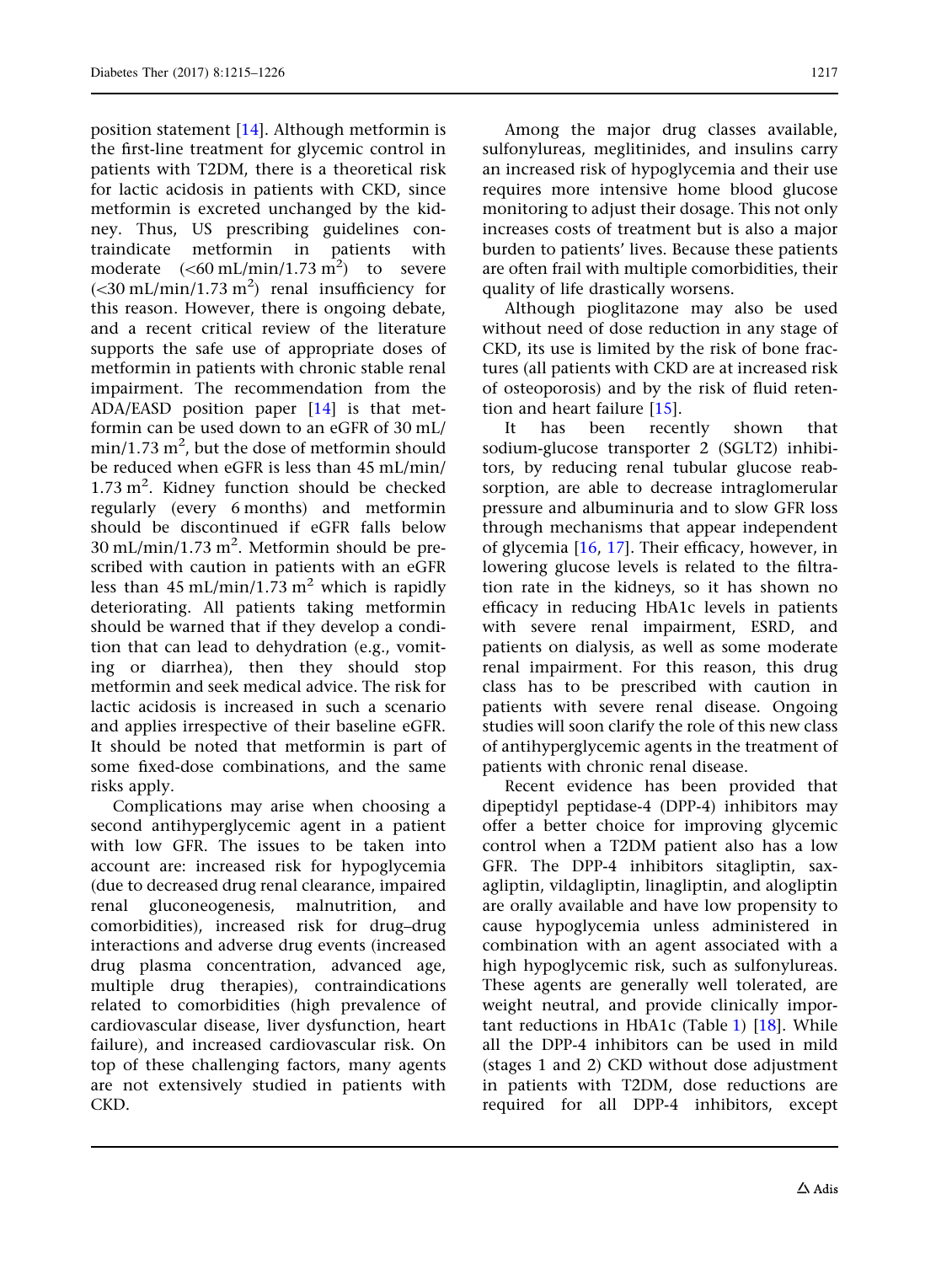position statement [[14](#page-10-0)]. Although metformin is the first-line treatment for glycemic control in patients with T2DM, there is a theoretical risk for lactic acidosis in patients with CKD, since metformin is excreted unchanged by the kidney. Thus, US prescribing guidelines contraindicate metformin in patients with moderate  $(<\!60 \text{ mL/min}/1.73 \text{ m}^2)$  to severe  $(<$ 30 mL/min/1.73 m<sup>2</sup>) renal insufficiency for this reason. However, there is ongoing debate, and a recent critical review of the literature supports the safe use of appropriate doses of metformin in patients with chronic stable renal impairment. The recommendation from the ADA/EASD position paper [[14](#page-10-0)] is that metformin can be used down to an eGFR of 30 mL/ min/1.73  $\mathrm{m}^2$ , but the dose of metformin should be reduced when eGFR is less than 45 mL/min/  $1.73 \text{ m}^2$ . Kidney function should be checked regularly (every 6 months) and metformin should be discontinued if eGFR falls below  $30 \text{ mL/min}/1.73 \text{ m}^2$ . Metformin should be prescribed with caution in patients with an eGFR less than 45 mL/min/1.73 m<sup>2</sup> which is rapidly deteriorating. All patients taking metformin should be warned that if they develop a condition that can lead to dehydration (e.g., vomiting or diarrhea), then they should stop metformin and seek medical advice. The risk for lactic acidosis is increased in such a scenario and applies irrespective of their baseline eGFR. It should be noted that metformin is part of some fixed-dose combinations, and the same risks apply.

Complications may arise when choosing a second antihyperglycemic agent in a patient with low GFR. The issues to be taken into account are: increased risk for hypoglycemia (due to decreased drug renal clearance, impaired renal gluconeogenesis, malnutrition, and comorbidities), increased risk for drug–drug interactions and adverse drug events (increased drug plasma concentration, advanced age, multiple drug therapies), contraindications related to comorbidities (high prevalence of cardiovascular disease, liver dysfunction, heart failure), and increased cardiovascular risk. On top of these challenging factors, many agents are not extensively studied in patients with CKD.

Among the major drug classes available, sulfonylureas, meglitinides, and insulins carry an increased risk of hypoglycemia and their use requires more intensive home blood glucose monitoring to adjust their dosage. This not only increases costs of treatment but is also a major burden to patients' lives. Because these patients are often frail with multiple comorbidities, their quality of life drastically worsens.

Although pioglitazone may also be used without need of dose reduction in any stage of CKD, its use is limited by the risk of bone fractures (all patients with CKD are at increased risk of osteoporosis) and by the risk of fluid retention and heart failure [\[15\]](#page-10-0).

It has been recently shown that sodium-glucose transporter 2 (SGLT2) inhibitors, by reducing renal tubular glucose reabsorption, are able to decrease intraglomerular pressure and albuminuria and to slow GFR loss through mechanisms that appear independent of glycemia [\[16,](#page-10-0) [17](#page-10-0)]. Their efficacy, however, in lowering glucose levels is related to the filtration rate in the kidneys, so it has shown no efficacy in reducing HbA1c levels in patients with severe renal impairment, ESRD, and patients on dialysis, as well as some moderate renal impairment. For this reason, this drug class has to be prescribed with caution in patients with severe renal disease. Ongoing studies will soon clarify the role of this new class of antihyperglycemic agents in the treatment of patients with chronic renal disease.

Recent evidence has been provided that dipeptidyl peptidase-4 (DPP-4) inhibitors may offer a better choice for improving glycemic control when a T2DM patient also has a low GFR. The DPP-4 inhibitors sitagliptin, saxagliptin, vildagliptin, linagliptin, and alogliptin are orally available and have low propensity to cause hypoglycemia unless administered in combination with an agent associated with a high hypoglycemic risk, such as sulfonylureas. These agents are generally well tolerated, are weight neutral, and provide clinically important reductions in HbA1c (Table [1\)](#page-3-0) [[18](#page-10-0)]. While all the DPP-4 inhibitors can be used in mild (stages 1 and 2) CKD without dose adjustment in patients with T2DM, dose reductions are required for all DPP-4 inhibitors, except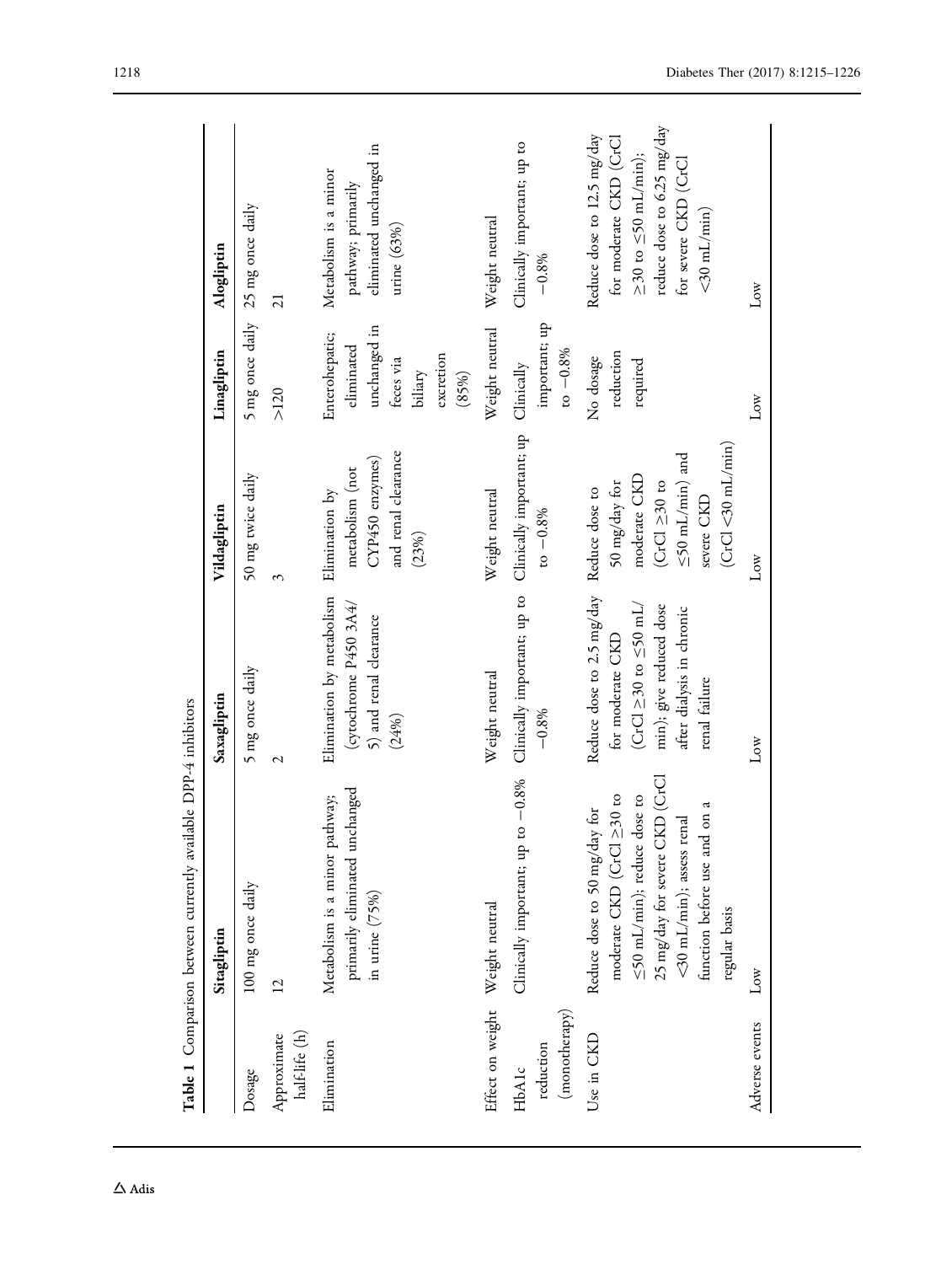<span id="page-3-0"></span>

|                                     | Table 1 Comparison between currently available DPP-4 inhibitors                                                                                                                                                     |                                                                                                                                                                          |                                                                                                                                    |                                                                                            |                                                                                                                                                                    |
|-------------------------------------|---------------------------------------------------------------------------------------------------------------------------------------------------------------------------------------------------------------------|--------------------------------------------------------------------------------------------------------------------------------------------------------------------------|------------------------------------------------------------------------------------------------------------------------------------|--------------------------------------------------------------------------------------------|--------------------------------------------------------------------------------------------------------------------------------------------------------------------|
|                                     | Sitagliptin                                                                                                                                                                                                         | Saxagliptin                                                                                                                                                              | Vildagliptin                                                                                                                       | Linagliptin                                                                                | Alogliptin                                                                                                                                                         |
| Dosage                              | 100 mg once daily                                                                                                                                                                                                   | 5 mg once daily                                                                                                                                                          | 50 mg twice daily                                                                                                                  | 5 mg once daily                                                                            | 25 mg once daily                                                                                                                                                   |
| half-life (h)<br>Approximate        | $\overline{2}$                                                                                                                                                                                                      | $\overline{\mathcal{C}}$                                                                                                                                                 | 3                                                                                                                                  | $>120$                                                                                     | $\overline{21}$                                                                                                                                                    |
| Elimination                         | primarily eliminated unchanged<br>Metabolism is a minor pathway;<br>in urine $(75%)$                                                                                                                                | Elimination by metabolism<br>(cytochrome $P450$ $3A4/$<br>5) and renal clearance<br>(24%)                                                                                | and renal clearance<br>CYP450 enzymes)<br>metabolism (not<br>Elimination by<br>(23%)                                               | unchanged in<br>Enterohepatic;<br>eliminated<br>excretion<br>feces via<br>biliary<br>(85%) | eliminated unchanged in<br>Metabolism is a minor<br>pathway; primarily<br>urine $(63%)$                                                                            |
| Effect on weight                    | Weight neutral                                                                                                                                                                                                      | Weight neutral                                                                                                                                                           | Weight neutral                                                                                                                     | Weight neutral                                                                             | Weight neutral                                                                                                                                                     |
| (monotherapy)<br>reduction<br>HbAlc | Clinically important; up to -0.8%                                                                                                                                                                                   | Clinically important; up to<br>$-0.8%$                                                                                                                                   | Clinically important; up<br>$to -0.8%$                                                                                             | important; up<br>$to -0.8%$<br>Clinically                                                  | Clinically important; up to<br>$-0.8%$                                                                                                                             |
| Use in CKD                          | 25 mg/day for severe CKD (CrCl<br>moderate CKD (CrCl $\geq$ 30 to<br>≤50 mL/min); reduce dose to<br>function before use and on a<br>r for<br><30 mL/min); assess renal<br>Reduce dose to 50 mg/day<br>regular basis | Reduce dose to 2.5 mg/day<br>$(CrCl \geq 30 \text{ to } \leq 50 \text{ mL}$<br>min); give reduced dose<br>after dialysis in chronic<br>for moderate CKD<br>renal failure | (CrCl < 30 mL/min)<br>$\leq$ 50 mL/min) and<br>moderate CKD<br>50 mg/day for<br>$(CrCl \geq 30 to$<br>Reduce dose to<br>severe CKD | reduction<br>No dosage<br>required                                                         | reduce dose to 6.25 mg/day<br>Reduce dose to 12.5 mg/day<br>for moderate CKD (CrCl<br>$\geq$ 30 to $\leq$ 50 mL/min);<br>for severe CKD (CrCl<br>$<$ 30 mL/min $)$ |
| Adverse events                      | $_{\text{Low}}$                                                                                                                                                                                                     | $_{\text{Low}}$                                                                                                                                                          | $_{\text{Low}}$                                                                                                                    | Low                                                                                        | $_{\text{Low}}$                                                                                                                                                    |
|                                     |                                                                                                                                                                                                                     |                                                                                                                                                                          |                                                                                                                                    |                                                                                            |                                                                                                                                                                    |

 $\Delta$ Adis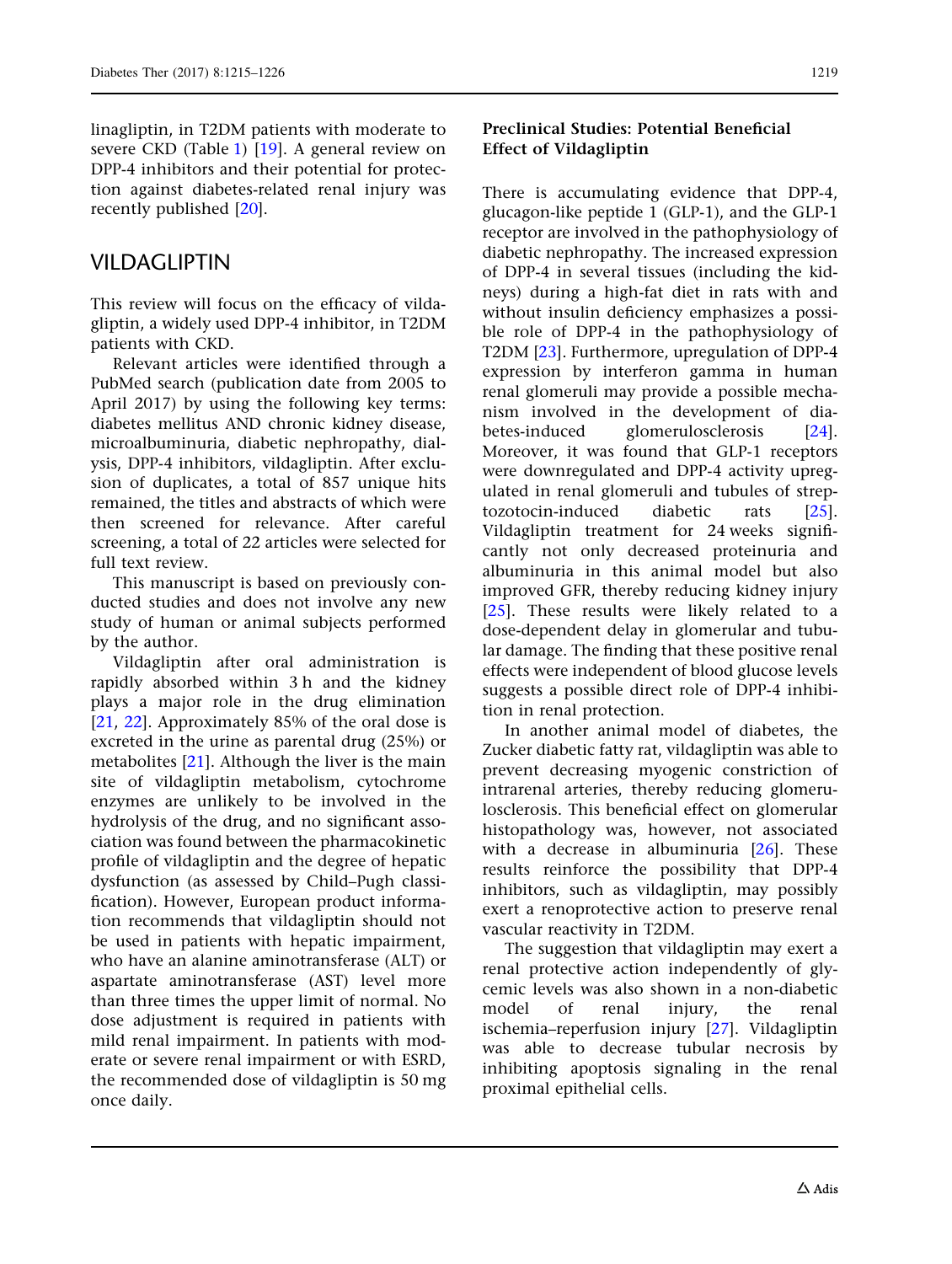linagliptin, in T2DM patients with moderate to severe CKD (Table [1\)](#page-3-0) [\[19\]](#page-10-0). A general review on DPP-4 inhibitors and their potential for protection against diabetes-related renal injury was recently published [\[20\]](#page-10-0).

### VILDAGLIPTIN

This review will focus on the efficacy of vildagliptin, a widely used DPP-4 inhibitor, in T2DM patients with CKD.

Relevant articles were identified through a PubMed search (publication date from 2005 to April 2017) by using the following key terms: diabetes mellitus AND chronic kidney disease, microalbuminuria, diabetic nephropathy, dialysis, DPP-4 inhibitors, vildagliptin. After exclusion of duplicates, a total of 857 unique hits remained, the titles and abstracts of which were then screened for relevance. After careful screening, a total of 22 articles were selected for full text review.

This manuscript is based on previously conducted studies and does not involve any new study of human or animal subjects performed by the author.

Vildagliptin after oral administration is rapidly absorbed within 3 h and the kidney plays a major role in the drug elimination [\[21](#page-11-0), [22](#page-11-0)]. Approximately 85% of the oral dose is excreted in the urine as parental drug (25%) or metabolites [\[21](#page-11-0)]. Although the liver is the main site of vildagliptin metabolism, cytochrome enzymes are unlikely to be involved in the hydrolysis of the drug, and no significant association was found between the pharmacokinetic profile of vildagliptin and the degree of hepatic dysfunction (as assessed by Child–Pugh classification). However, European product information recommends that vildagliptin should not be used in patients with hepatic impairment, who have an alanine aminotransferase (ALT) or aspartate aminotransferase (AST) level more than three times the upper limit of normal. No dose adjustment is required in patients with mild renal impairment. In patients with moderate or severe renal impairment or with ESRD, the recommended dose of vildagliptin is 50 mg once daily.

#### Preclinical Studies: Potential Beneficial Effect of Vildagliptin

There is accumulating evidence that DPP-4, glucagon-like peptide 1 (GLP-1), and the GLP-1 receptor are involved in the pathophysiology of diabetic nephropathy. The increased expression of DPP-4 in several tissues (including the kidneys) during a high-fat diet in rats with and without insulin deficiency emphasizes a possible role of DPP-4 in the pathophysiology of T2DM [\[23](#page-11-0)]. Furthermore, upregulation of DPP-4 expression by interferon gamma in human renal glomeruli may provide a possible mechanism involved in the development of dia-betes-induced glomerulosclerosis [[24](#page-11-0)]. Moreover, it was found that GLP-1 receptors were downregulated and DPP-4 activity upregulated in renal glomeruli and tubules of streptozotocin-induced diabetic rats [[25](#page-11-0)]. Vildagliptin treatment for 24 weeks significantly not only decreased proteinuria and albuminuria in this animal model but also improved GFR, thereby reducing kidney injury [\[25\]](#page-11-0). These results were likely related to a dose-dependent delay in glomerular and tubular damage. The finding that these positive renal effects were independent of blood glucose levels suggests a possible direct role of DPP-4 inhibition in renal protection.

In another animal model of diabetes, the Zucker diabetic fatty rat, vildagliptin was able to prevent decreasing myogenic constriction of intrarenal arteries, thereby reducing glomerulosclerosis. This beneficial effect on glomerular histopathology was, however, not associated with a decrease in albuminuria [[26](#page-11-0)]. These results reinforce the possibility that DPP-4 inhibitors, such as vildagliptin, may possibly exert a renoprotective action to preserve renal vascular reactivity in T2DM.

The suggestion that vildagliptin may exert a renal protective action independently of glycemic levels was also shown in a non-diabetic model of renal injury, the renal ischemia–reperfusion injury [[27](#page-11-0)]. Vildagliptin was able to decrease tubular necrosis by inhibiting apoptosis signaling in the renal proximal epithelial cells.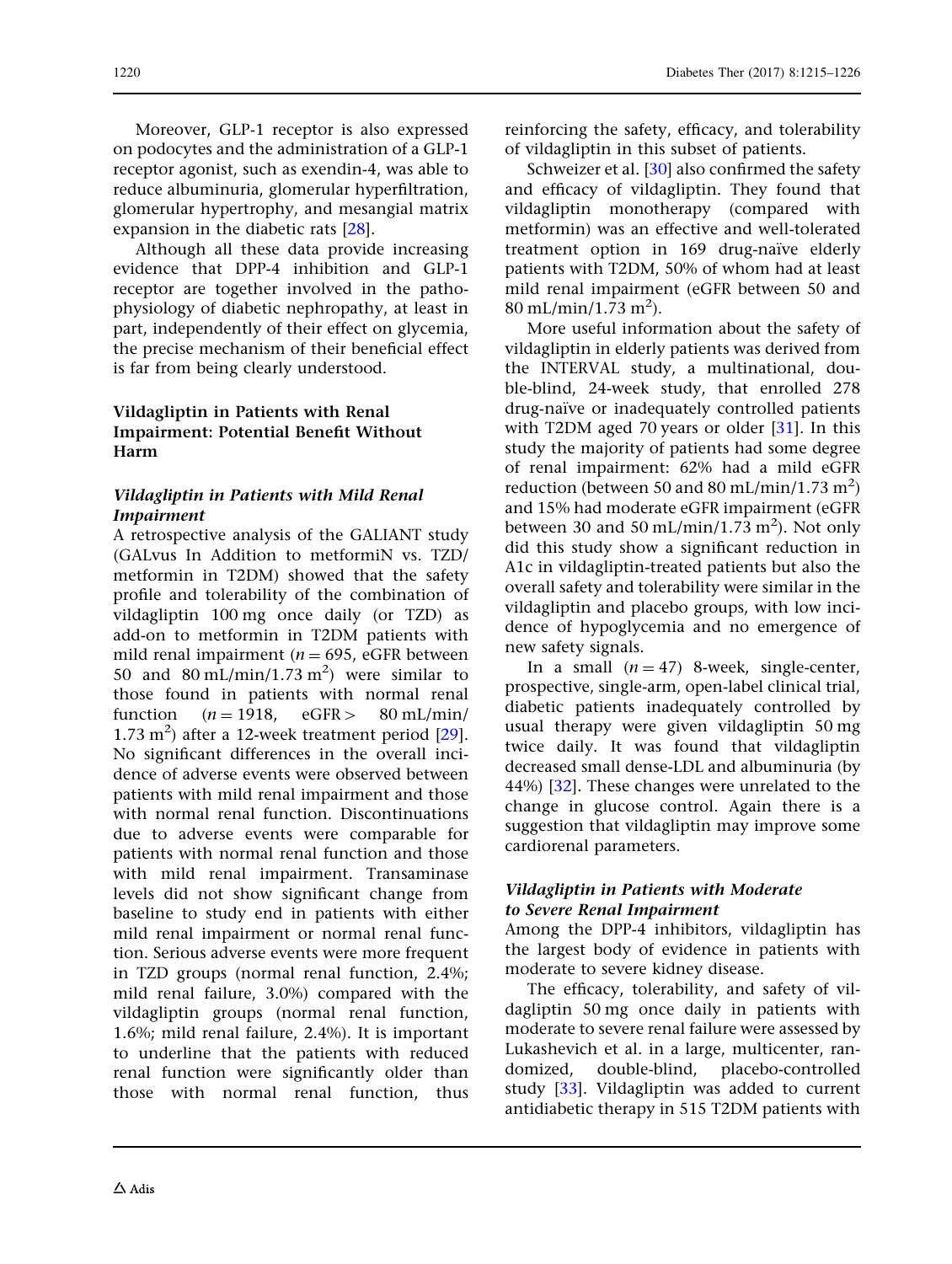Moreover, GLP-1 receptor is also expressed on podocytes and the administration of a GLP-1 receptor agonist, such as exendin-4, was able to reduce albuminuria, glomerular hyperfiltration, glomerular hypertrophy, and mesangial matrix expansion in the diabetic rats [\[28\]](#page-11-0).

Although all these data provide increasing evidence that DPP-4 inhibition and GLP-1 receptor are together involved in the pathophysiology of diabetic nephropathy, at least in part, independently of their effect on glycemia, the precise mechanism of their beneficial effect is far from being clearly understood.

#### Vildagliptin in Patients with Renal Impairment: Potential Benefit Without Harm

#### Vildagliptin in Patients with Mild Renal Impairment

A retrospective analysis of the GALIANT study (GALvus In Addition to metformiN vs. TZD/ metformin in T2DM) showed that the safety profile and tolerability of the combination of vildagliptin 100 mg once daily (or TZD) as add-on to metformin in T2DM patients with mild renal impairment ( $n = 695$ , eGFR between 50 and  $80 \text{ mL/min}/1.73 \text{ m}^2$  were similar to those found in patients with normal renal function  $(n = 1918, \text{ eGFR} > 80 \text{ mL/min/}$  $1.73 \text{ m}^2$ ) after a 12-week treatment period [[29](#page-11-0)]. No significant differences in the overall incidence of adverse events were observed between patients with mild renal impairment and those with normal renal function. Discontinuations due to adverse events were comparable for patients with normal renal function and those with mild renal impairment. Transaminase levels did not show significant change from baseline to study end in patients with either mild renal impairment or normal renal function. Serious adverse events were more frequent in TZD groups (normal renal function, 2.4%; mild renal failure, 3.0%) compared with the vildagliptin groups (normal renal function, 1.6%; mild renal failure, 2.4%). It is important to underline that the patients with reduced renal function were significantly older than those with normal renal function, thus

reinforcing the safety, efficacy, and tolerability of vildagliptin in this subset of patients.

Schweizer et al. [\[30\]](#page-11-0) also confirmed the safety and efficacy of vildagliptin. They found that vildagliptin monotherapy (compared with metformin) was an effective and well-tolerated treatment option in 169 drug-naïve elderly patients with T2DM, 50% of whom had at least mild renal impairment (eGFR between 50 and  $80 \text{ mL/min}/1.73 \text{ m}^2$ ).

More useful information about the safety of vildagliptin in elderly patients was derived from the INTERVAL study, a multinational, double-blind, 24-week study, that enrolled 278 drug-naïve or inadequately controlled patients with T2DM aged 70 years or older [[31](#page-11-0)]. In this study the majority of patients had some degree of renal impairment: 62% had a mild eGFR reduction (between 50 and 80 mL/min/1.73  $m^2$ ) and 15% had moderate eGFR impairment (eGFR between 30 and 50 mL/min/1.73 m<sup>2</sup>). Not only did this study show a significant reduction in A1c in vildagliptin-treated patients but also the overall safety and tolerability were similar in the vildagliptin and placebo groups, with low incidence of hypoglycemia and no emergence of new safety signals.

In a small  $(n = 47)$  8-week, single-center, prospective, single-arm, open-label clinical trial, diabetic patients inadequately controlled by usual therapy were given vildagliptin 50 mg twice daily. It was found that vildagliptin decreased small dense-LDL and albuminuria (by 44%) [[32](#page-11-0)]. These changes were unrelated to the change in glucose control. Again there is a suggestion that vildagliptin may improve some cardiorenal parameters.

#### Vildagliptin in Patients with Moderate to Severe Renal Impairment

Among the DPP-4 inhibitors, vildagliptin has the largest body of evidence in patients with moderate to severe kidney disease.

The efficacy, tolerability, and safety of vildagliptin 50 mg once daily in patients with moderate to severe renal failure were assessed by Lukashevich et al. in a large, multicenter, randomized, double-blind, placebo-controlled study [\[33\]](#page-11-0). Vildagliptin was added to current antidiabetic therapy in 515 T2DM patients with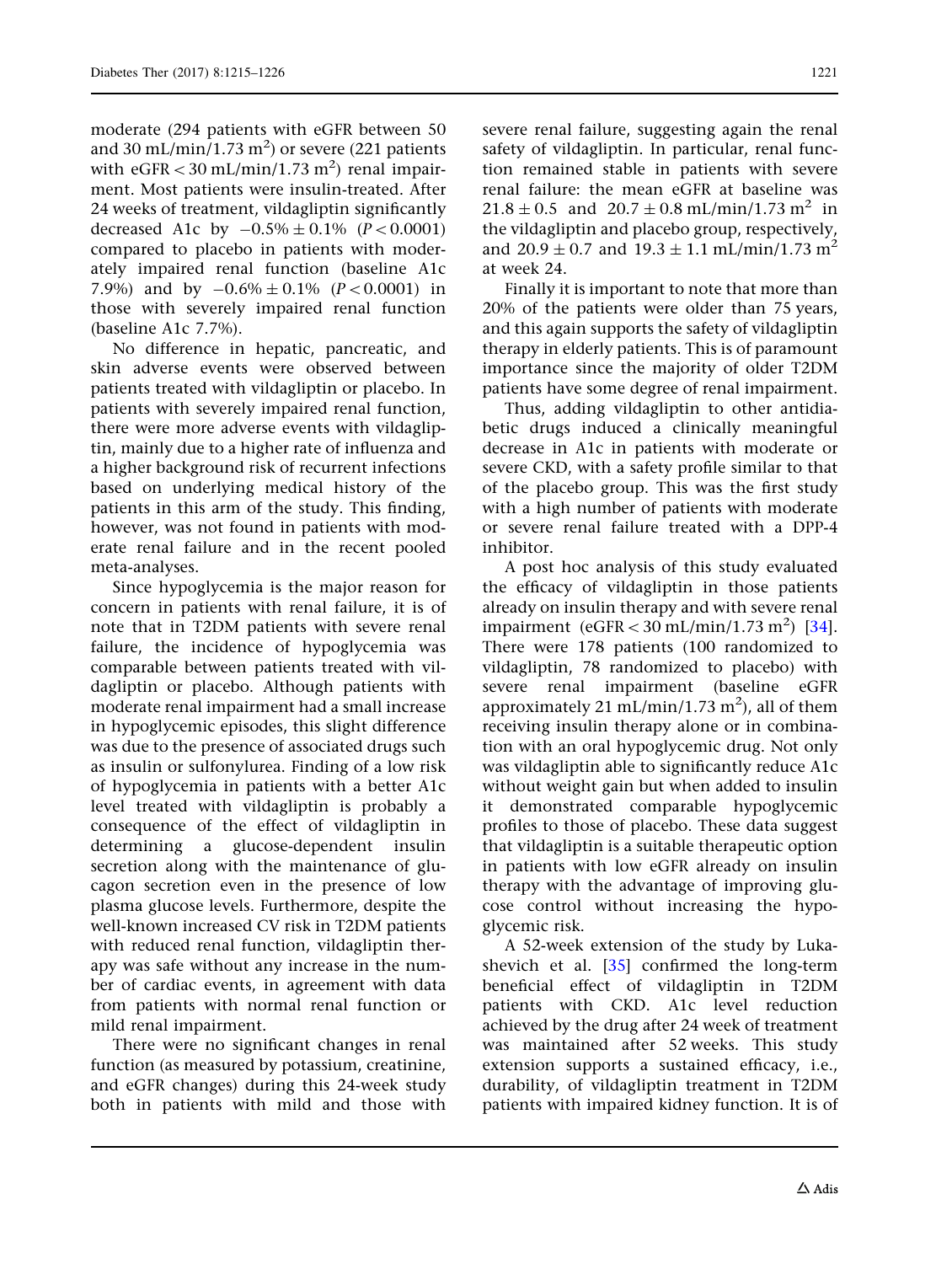moderate (294 patients with eGFR between 50 and 30 mL/min/1.73  $\mathrm{m}^{2})$  or severe (221 patients with  $\rm{eGFR}$   $<$  30 mL/min/1.73 m<sup>2</sup>) renal impairment. Most patients were insulin-treated. After 24 weeks of treatment, vildagliptin significantly decreased A1c by  $-0.5\% \pm 0.1\%$  ( $P < 0.0001$ ) compared to placebo in patients with moderately impaired renal function (baseline A1c 7.9%) and by  $-0.6\% \pm 0.1\%$  ( $P < 0.0001$ ) in those with severely impaired renal function (baseline A1c 7.7%).

No difference in hepatic, pancreatic, and skin adverse events were observed between patients treated with vildagliptin or placebo. In patients with severely impaired renal function, there were more adverse events with vildagliptin, mainly due to a higher rate of influenza and a higher background risk of recurrent infections based on underlying medical history of the patients in this arm of the study. This finding, however, was not found in patients with moderate renal failure and in the recent pooled meta-analyses.

Since hypoglycemia is the major reason for concern in patients with renal failure, it is of note that in T2DM patients with severe renal failure, the incidence of hypoglycemia was comparable between patients treated with vildagliptin or placebo. Although patients with moderate renal impairment had a small increase in hypoglycemic episodes, this slight difference was due to the presence of associated drugs such as insulin or sulfonylurea. Finding of a low risk of hypoglycemia in patients with a better A1c level treated with vildagliptin is probably a consequence of the effect of vildagliptin in determining a glucose-dependent insulin secretion along with the maintenance of glucagon secretion even in the presence of low plasma glucose levels. Furthermore, despite the well-known increased CV risk in T2DM patients with reduced renal function, vildagliptin therapy was safe without any increase in the number of cardiac events, in agreement with data from patients with normal renal function or mild renal impairment.

There were no significant changes in renal function (as measured by potassium, creatinine, and eGFR changes) during this 24-week study both in patients with mild and those with

severe renal failure, suggesting again the renal safety of vildagliptin. In particular, renal function remained stable in patients with severe renal failure: the mean eGFR at baseline was  $21.8 \pm 0.5$  and  $20.7 \pm 0.8$  mL/min/1.73 m<sup>2</sup> in the vildagliptin and placebo group, respectively, and  $20.9 \pm 0.7$  and  $19.3 \pm 1.1$  mL/min/1.73 m<sup>2</sup> at week 24.

Finally it is important to note that more than 20% of the patients were older than 75 years, and this again supports the safety of vildagliptin therapy in elderly patients. This is of paramount importance since the majority of older T2DM patients have some degree of renal impairment.

Thus, adding vildagliptin to other antidiabetic drugs induced a clinically meaningful decrease in A1c in patients with moderate or severe CKD, with a safety profile similar to that of the placebo group. This was the first study with a high number of patients with moderate or severe renal failure treated with a DPP-4 inhibitor.

A post hoc analysis of this study evaluated the efficacy of vildagliptin in those patients already on insulin therapy and with severe renal impairment (eGFR < 30 mL/min/1.73 m<sup>2</sup>) [[34](#page-11-0)]. There were 178 patients (100 randomized to vildagliptin, 78 randomized to placebo) with severe renal impairment (baseline eGFR approximately 21 mL/min/1.73 m<sup>2</sup>), all of them receiving insulin therapy alone or in combination with an oral hypoglycemic drug. Not only was vildagliptin able to significantly reduce A1c without weight gain but when added to insulin it demonstrated comparable hypoglycemic profiles to those of placebo. These data suggest that vildagliptin is a suitable therapeutic option in patients with low eGFR already on insulin therapy with the advantage of improving glucose control without increasing the hypoglycemic risk.

A 52-week extension of the study by Lukashevich et al. [\[35\]](#page-11-0) confirmed the long-term beneficial effect of vildagliptin in T2DM patients with CKD. A1c level reduction achieved by the drug after 24 week of treatment was maintained after 52 weeks. This study extension supports a sustained efficacy, i.e., durability, of vildagliptin treatment in T2DM patients with impaired kidney function. It is of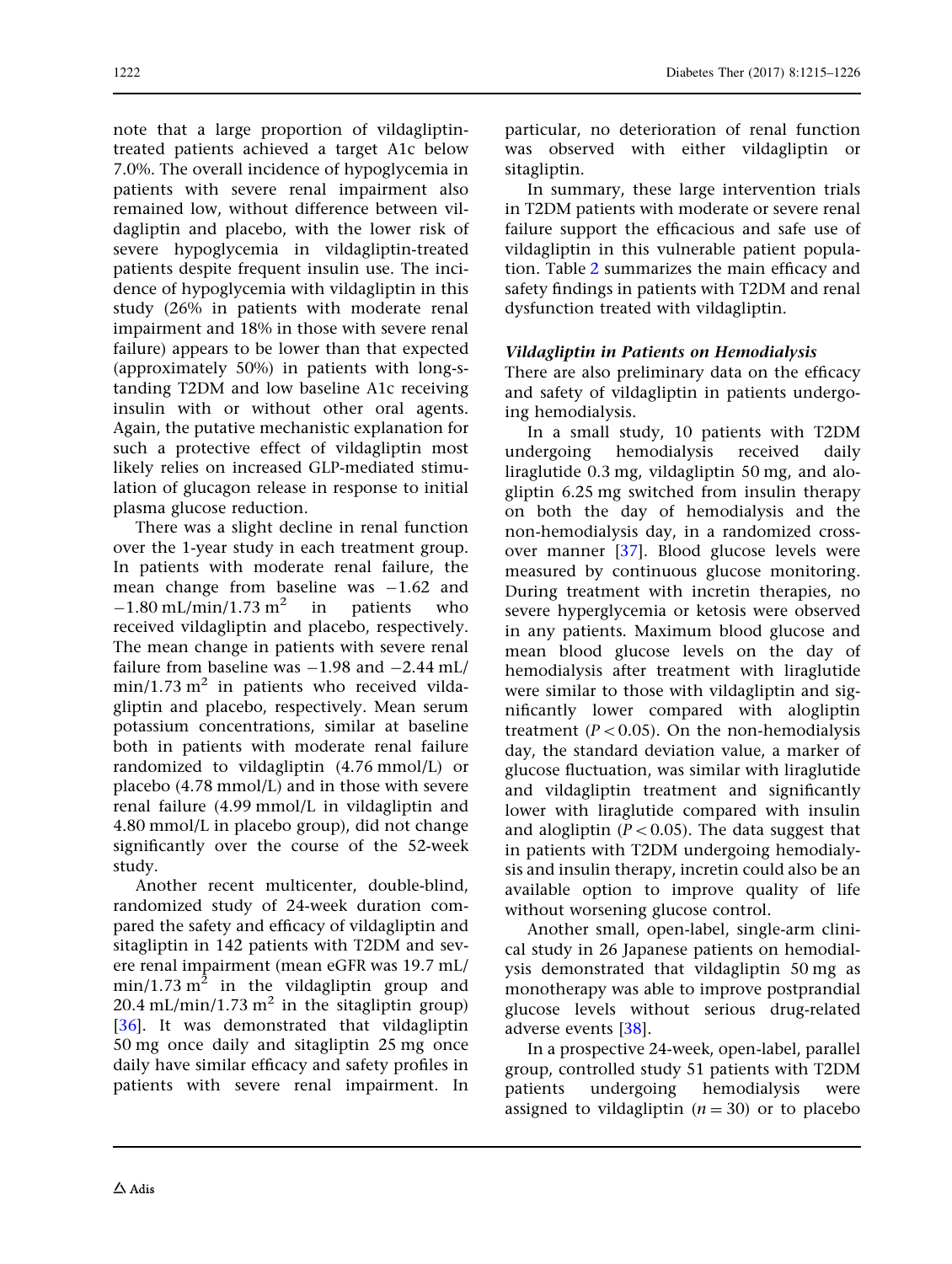note that a large proportion of vildagliptintreated patients achieved a target A1c below 7.0%. The overall incidence of hypoglycemia in patients with severe renal impairment also remained low, without difference between vildagliptin and placebo, with the lower risk of severe hypoglycemia in vildagliptin-treated patients despite frequent insulin use. The incidence of hypoglycemia with vildagliptin in this study (26% in patients with moderate renal impairment and 18% in those with severe renal failure) appears to be lower than that expected (approximately 50%) in patients with long-standing T2DM and low baseline A1c receiving insulin with or without other oral agents. Again, the putative mechanistic explanation for such a protective effect of vildagliptin most likely relies on increased GLP-mediated stimulation of glucagon release in response to initial plasma glucose reduction.

There was a slight decline in renal function over the 1-year study in each treatment group. In patients with moderate renal failure, the mean change from baseline was  $-1.62$  and  $-1.80$  mL/min/1.73 m<sup>2</sup> in patients who received vildagliptin and placebo, respectively. The mean change in patients with severe renal failure from baseline was  $-1.98$  and  $-2.44$  mL/  $min/1.73$  m<sup>2</sup> in patients who received vildagliptin and placebo, respectively. Mean serum potassium concentrations, similar at baseline both in patients with moderate renal failure randomized to vildagliptin (4.76 mmol/L) or placebo (4.78 mmol/L) and in those with severe renal failure (4.99 mmol/L in vildagliptin and 4.80 mmol/L in placebo group), did not change significantly over the course of the 52-week study.

Another recent multicenter, double-blind, randomized study of 24-week duration compared the safety and efficacy of vildagliptin and sitagliptin in 142 patients with T2DM and severe renal impairment (mean eGFR was 19.7 mL/  $min/1.73$  m<sup>2</sup> in the vildagliptin group and 20.4 mL/min/1.73 m<sup>2</sup> in the sitagliptin group) [\[36\]](#page-11-0). It was demonstrated that vildagliptin 50 mg once daily and sitagliptin 25 mg once daily have similar efficacy and safety profiles in patients with severe renal impairment. In

particular, no deterioration of renal function was observed with either vildagliptin or sitagliptin.

In summary, these large intervention trials in T2DM patients with moderate or severe renal failure support the efficacious and safe use of vildagliptin in this vulnerable patient population. Table [2](#page-8-0) summarizes the main efficacy and safety findings in patients with T2DM and renal dysfunction treated with vildagliptin.

#### Vildagliptin in Patients on Hemodialysis

There are also preliminary data on the efficacy and safety of vildagliptin in patients undergoing hemodialysis.

In a small study, 10 patients with T2DM undergoing hemodialysis received daily liraglutide 0.3 mg, vildagliptin 50 mg, and alogliptin 6.25 mg switched from insulin therapy on both the day of hemodialysis and the non-hemodialysis day, in a randomized crossover manner [\[37](#page-11-0)]. Blood glucose levels were measured by continuous glucose monitoring. During treatment with incretin therapies, no severe hyperglycemia or ketosis were observed in any patients. Maximum blood glucose and mean blood glucose levels on the day of hemodialysis after treatment with liraglutide were similar to those with vildagliptin and significantly lower compared with alogliptin treatment ( $P < 0.05$ ). On the non-hemodialysis day, the standard deviation value, a marker of glucose fluctuation, was similar with liraglutide and vildagliptin treatment and significantly lower with liraglutide compared with insulin and alogliptin ( $P < 0.05$ ). The data suggest that in patients with T2DM undergoing hemodialysis and insulin therapy, incretin could also be an available option to improve quality of life without worsening glucose control.

Another small, open-label, single-arm clinical study in 26 Japanese patients on hemodialysis demonstrated that vildagliptin 50 mg as monotherapy was able to improve postprandial glucose levels without serious drug-related adverse events [\[38\]](#page-11-0).

In a prospective 24-week, open-label, parallel group, controlled study 51 patients with T2DM patients undergoing hemodialysis were assigned to vildagliptin  $(n = 30)$  or to placebo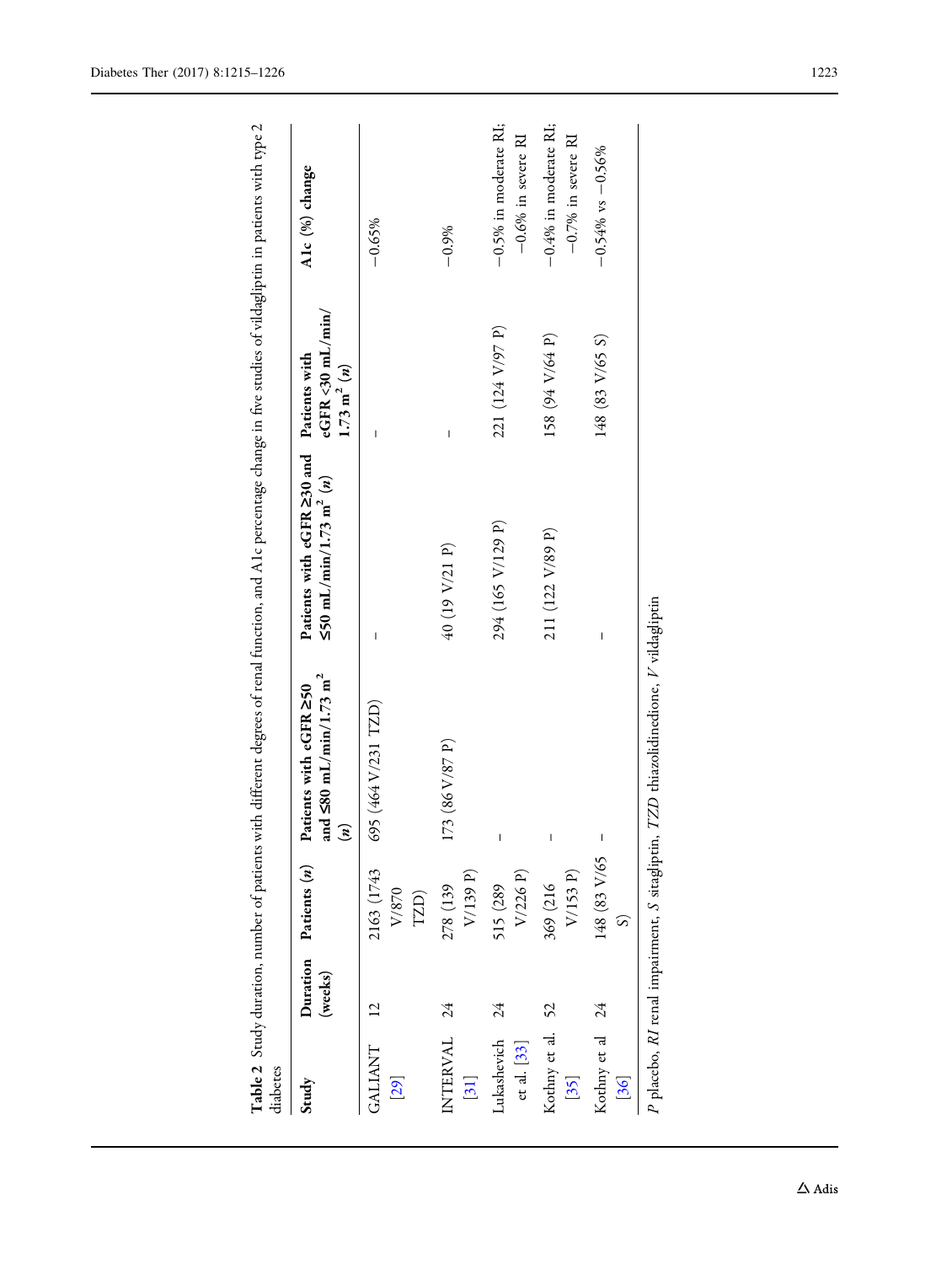| diabetes                       |                     |                                                |                                                                                 | Table 2 Study duration, number of patients with different degrees of renal function, and A1c percentage change in five studies of vildagliptin in patients with type 2 |                                                  |                                                  |
|--------------------------------|---------------------|------------------------------------------------|---------------------------------------------------------------------------------|------------------------------------------------------------------------------------------------------------------------------------------------------------------------|--------------------------------------------------|--------------------------------------------------|
| Study                          | Duration<br>(weeks) | Patients (n)                                   | nd $\leq 80$ mL/min/1.73 m <sup>2</sup><br>Patients with eGFR 250<br>$\epsilon$ | Patients with eGFR 230 and Patients with<br>$\leq 50$ mL/min/1.73 m <sup>2</sup> ( <i>n</i> )                                                                          | $e$ GFR <30 mL/min/<br>$1.73 \; \mathrm{m}^2(n)$ | A1c (%) change                                   |
| <b>GALIANT</b><br>[29]         |                     | 2163 (1743<br>${\rm V}/870$<br>TZD)            | 695 (464 V/231 TZD)                                                             | I                                                                                                                                                                      | I                                                | $-0.65%$                                         |
| INTERVAL<br>$[31]$             | $\overline{24}$     | V/139 P)<br>278 (139                           | 73 (86 V/87 P)                                                                  | 40 (19 V/21 P)                                                                                                                                                         | I                                                | $-0.9%$                                          |
| Lukashevich<br>$ct$ al. $[33]$ | 24                  | V/226 P)<br>515 (289                           | I                                                                               | 294 (165 V/129 P)                                                                                                                                                      | 221 (124 V/97 P)                                 | $-0.5%$ in moderate RI;<br>$-0.6\%$ in severe RI |
| Kothny et al. 52<br>$[35]$     |                     | V/153 P)<br>369 (216                           | I                                                                               | 211 (122 V/89 P)                                                                                                                                                       | 158 (94 V/64 P)                                  | $-0.4\%$ in moderate RI;<br>$-0.7%$ in severe RI |
| Kothny et al<br>[36]           | $\overline{24}$     | 148 (83 V/65                                   | $\overline{\phantom{a}}$                                                        | I                                                                                                                                                                      | 148 (83 V/65 S)                                  | $-0.54\%$ vs $-0.56\%$                           |
|                                |                     | P placebo, RI renal impairment, S sitagliptin, | TZD thiazolidinedione, V vildagliptin                                           |                                                                                                                                                                        |                                                  |                                                  |

<span id="page-8-0"></span>Diabetes Ther (2017) 8:1215–1226 1223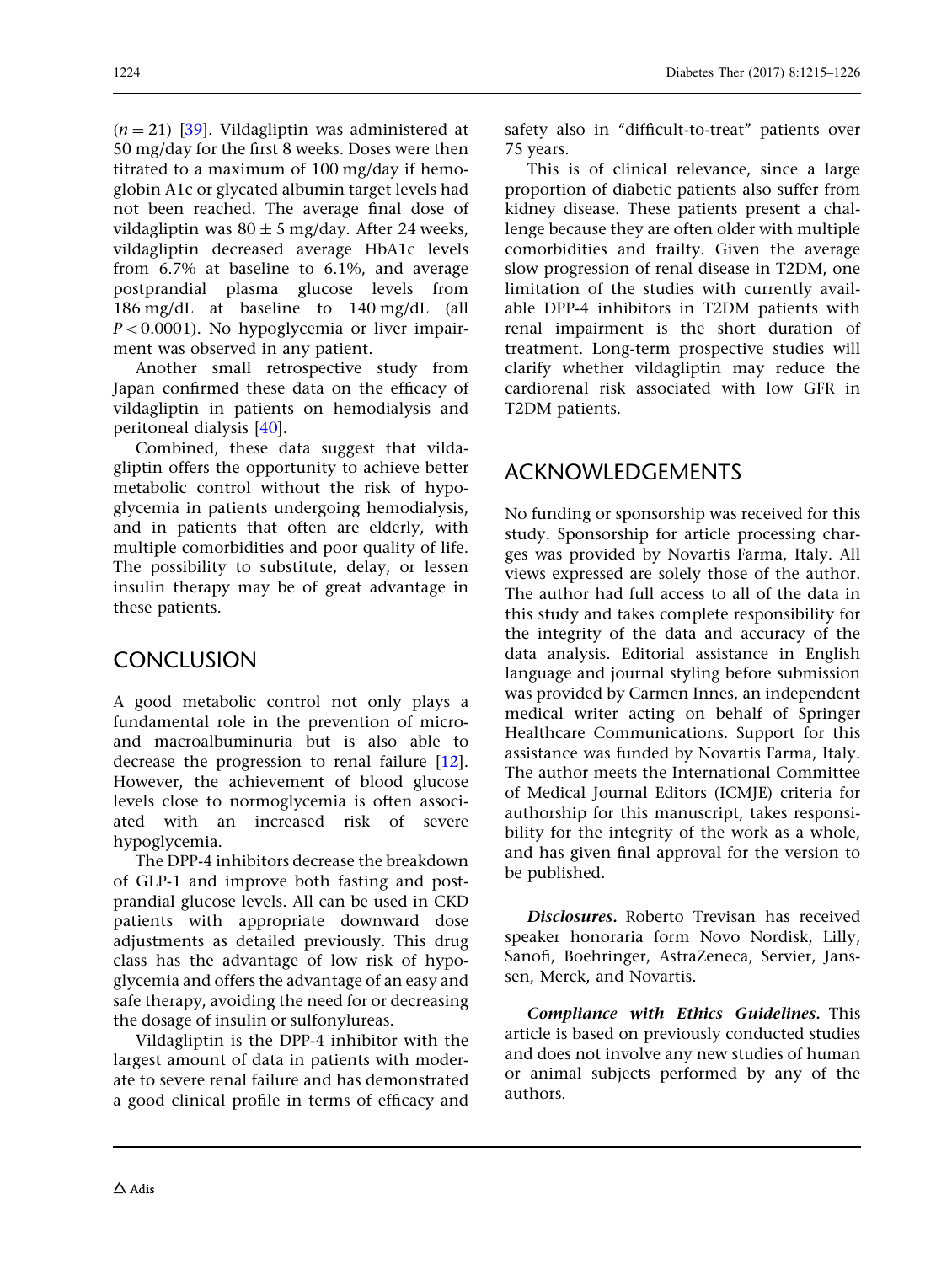$(n = 21)$  [[39\]](#page-11-0). Vildagliptin was administered at 50 mg/day for the first 8 weeks. Doses were then titrated to a maximum of 100 mg/day if hemoglobin A1c or glycated albumin target levels had not been reached. The average final dose of vildagliptin was  $80 \pm 5$  mg/day. After 24 weeks, vildagliptin decreased average HbA1c levels from 6.7% at baseline to 6.1%, and average postprandial plasma glucose levels from 186 mg/dL at baseline to 140 mg/dL (all  $P<0.0001$ ). No hypoglycemia or liver impairment was observed in any patient.

Another small retrospective study from Japan confirmed these data on the efficacy of vildagliptin in patients on hemodialysis and peritoneal dialysis [\[40\]](#page-11-0).

Combined, these data suggest that vildagliptin offers the opportunity to achieve better metabolic control without the risk of hypoglycemia in patients undergoing hemodialysis, and in patients that often are elderly, with multiple comorbidities and poor quality of life. The possibility to substitute, delay, or lessen insulin therapy may be of great advantage in these patients.

### **CONCLUSION**

A good metabolic control not only plays a fundamental role in the prevention of microand macroalbuminuria but is also able to decrease the progression to renal failure [[12](#page-10-0)]. However, the achievement of blood glucose levels close to normoglycemia is often associated with an increased risk of severe hypoglycemia.

The DPP-4 inhibitors decrease the breakdown of GLP-1 and improve both fasting and postprandial glucose levels. All can be used in CKD patients with appropriate downward dose adjustments as detailed previously. This drug class has the advantage of low risk of hypoglycemia and offers the advantage of an easy and safe therapy, avoiding the need for or decreasing the dosage of insulin or sulfonylureas.

Vildagliptin is the DPP-4 inhibitor with the largest amount of data in patients with moderate to severe renal failure and has demonstrated a good clinical profile in terms of efficacy and safety also in "difficult-to-treat" patients over 75 years.

This is of clinical relevance, since a large proportion of diabetic patients also suffer from kidney disease. These patients present a challenge because they are often older with multiple comorbidities and frailty. Given the average slow progression of renal disease in T2DM, one limitation of the studies with currently available DPP-4 inhibitors in T2DM patients with renal impairment is the short duration of treatment. Long-term prospective studies will clarify whether vildagliptin may reduce the cardiorenal risk associated with low GFR in T2DM patients.

### ACKNOWLEDGEMENTS

No funding or sponsorship was received for this study. Sponsorship for article processing charges was provided by Novartis Farma, Italy. All views expressed are solely those of the author. The author had full access to all of the data in this study and takes complete responsibility for the integrity of the data and accuracy of the data analysis. Editorial assistance in English language and journal styling before submission was provided by Carmen Innes, an independent medical writer acting on behalf of Springer Healthcare Communications. Support for this assistance was funded by Novartis Farma, Italy. The author meets the International Committee of Medical Journal Editors (ICMJE) criteria for authorship for this manuscript, takes responsibility for the integrity of the work as a whole, and has given final approval for the version to be published.

Disclosures. Roberto Trevisan has received speaker honoraria form Novo Nordisk, Lilly, Sanofi, Boehringer, AstraZeneca, Servier, Janssen, Merck, and Novartis.

Compliance with Ethics Guidelines. This article is based on previously conducted studies and does not involve any new studies of human or animal subjects performed by any of the authors.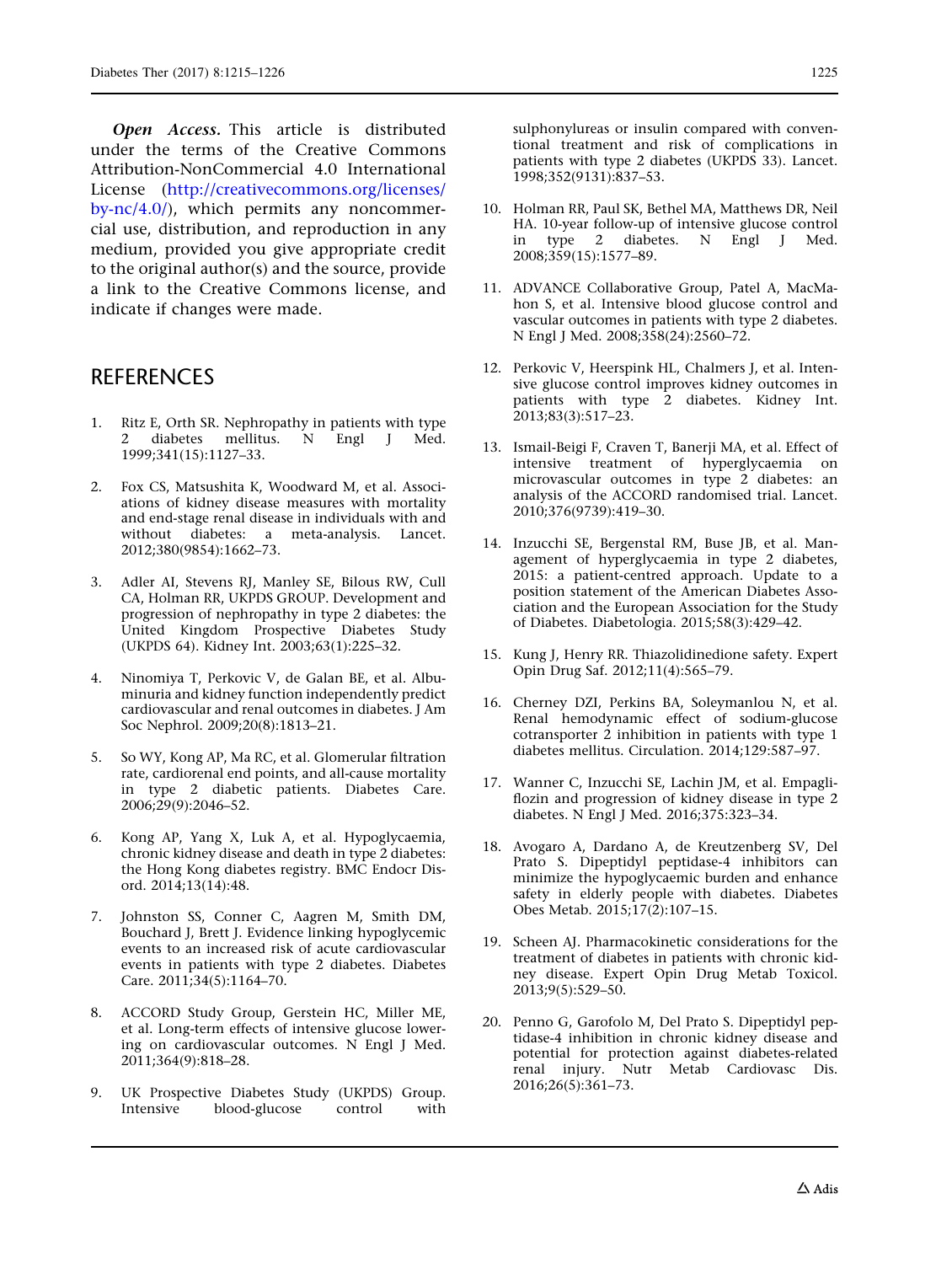<span id="page-10-0"></span>Open Access. This article is distributed under the terms of the Creative Commons Attribution-NonCommercial 4.0 International License ([http://creativecommons.org/licenses/](http://creativecommons.org/licenses/by-nc/4.0/) [by-nc/4.0/\)](http://creativecommons.org/licenses/by-nc/4.0/), which permits any noncommercial use, distribution, and reproduction in any medium, provided you give appropriate credit to the original author(s) and the source, provide a link to the Creative Commons license, and indicate if changes were made.

### **REFERENCES**

- 1. Ritz E, Orth SR. Nephropathy in patients with type 2 diabetes mellitus. N Engl J Med. 1999;341(15):1127–33.
- 2. Fox CS, Matsushita K, Woodward M, et al. Associations of kidney disease measures with mortality and end-stage renal disease in individuals with and without diabetes: a meta-analysis. Lancet. 2012;380(9854):1662–73.
- 3. Adler AI, Stevens RJ, Manley SE, Bilous RW, Cull CA, Holman RR, UKPDS GROUP. Development and progression of nephropathy in type 2 diabetes: the United Kingdom Prospective Diabetes Study (UKPDS 64). Kidney Int. 2003;63(1):225–32.
- 4. Ninomiya T, Perkovic V, de Galan BE, et al. Albuminuria and kidney function independently predict cardiovascular and renal outcomes in diabetes. J Am Soc Nephrol. 2009;20(8):1813–21.
- 5. So WY, Kong AP, Ma RC, et al. Glomerular filtration rate, cardiorenal end points, and all-cause mortality in type 2 diabetic patients. Diabetes Care. 2006;29(9):2046–52.
- 6. Kong AP, Yang X, Luk A, et al. Hypoglycaemia, chronic kidney disease and death in type 2 diabetes: the Hong Kong diabetes registry. BMC Endocr Disord. 2014;13(14):48.
- 7. Johnston SS, Conner C, Aagren M, Smith DM, Bouchard J, Brett J. Evidence linking hypoglycemic events to an increased risk of acute cardiovascular events in patients with type 2 diabetes. Diabetes Care. 2011;34(5):1164–70.
- 8. ACCORD Study Group, Gerstein HC, Miller ME, et al. Long-term effects of intensive glucose lowering on cardiovascular outcomes. N Engl J Med. 2011;364(9):818–28.
- 9. UK Prospective Diabetes Study (UKPDS) Group. Intensive blood-glucose control with

sulphonylureas or insulin compared with conventional treatment and risk of complications in patients with type 2 diabetes (UKPDS 33). Lancet. 1998;352(9131):837–53.

- 10. Holman RR, Paul SK, Bethel MA, Matthews DR, Neil HA. 10-year follow-up of intensive glucose control in type 2 diabetes. N Engl J Med. 2008;359(15):1577–89.
- 11. ADVANCE Collaborative Group, Patel A, MacMahon S, et al. Intensive blood glucose control and vascular outcomes in patients with type 2 diabetes. N Engl J Med. 2008;358(24):2560–72.
- 12. Perkovic V, Heerspink HL, Chalmers J, et al. Intensive glucose control improves kidney outcomes in patients with type 2 diabetes. Kidney Int. 2013;83(3):517–23.
- 13. Ismail-Beigi F, Craven T, Banerji MA, et al. Effect of intensive treatment of hyperglycaemia on microvascular outcomes in type 2 diabetes: an analysis of the ACCORD randomised trial. Lancet. 2010;376(9739):419–30.
- 14. Inzucchi SE, Bergenstal RM, Buse JB, et al. Management of hyperglycaemia in type 2 diabetes, 2015: a patient-centred approach. Update to a position statement of the American Diabetes Association and the European Association for the Study of Diabetes. Diabetologia. 2015;58(3):429–42.
- 15. Kung J, Henry RR. Thiazolidinedione safety. Expert Opin Drug Saf. 2012;11(4):565–79.
- 16. Cherney DZI, Perkins BA, Soleymanlou N, et al. Renal hemodynamic effect of sodium-glucose cotransporter 2 inhibition in patients with type 1 diabetes mellitus. Circulation. 2014;129:587–97.
- 17. Wanner C, Inzucchi SE, Lachin JM, et al. Empagliflozin and progression of kidney disease in type 2 diabetes. N Engl J Med. 2016;375:323–34.
- 18. Avogaro A, Dardano A, de Kreutzenberg SV, Del Prato S. Dipeptidyl peptidase-4 inhibitors can minimize the hypoglycaemic burden and enhance safety in elderly people with diabetes. Diabetes Obes Metab. 2015;17(2):107–15.
- 19. Scheen AJ. Pharmacokinetic considerations for the treatment of diabetes in patients with chronic kidney disease. Expert Opin Drug Metab Toxicol. 2013;9(5):529–50.
- 20. Penno G, Garofolo M, Del Prato S. Dipeptidyl peptidase-4 inhibition in chronic kidney disease and potential for protection against diabetes-related renal injury. Nutr Metab Cardiovasc Dis. 2016;26(5):361–73.